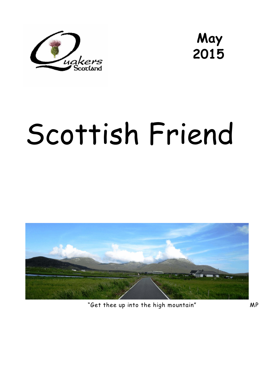



# Scottish Friend



"Get thee up into the high mountain" MP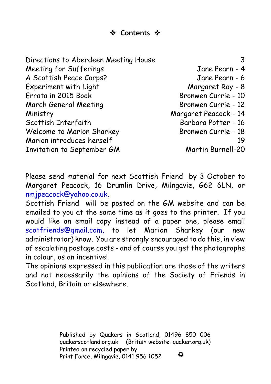**Contents** 

Directions to Aberdeen Meeting House 3 Meeting for Sufferings Tane Pearn - 4 A Scottish Peace Corps? Jane Pearn - 6 Experiment with Light Margaret Roy - 8 Errata in 2015 Book Bronwen Currie - 10 March General Meeting Bronwen Currie - 12 Ministry Margaret Peacock - 14 Scottish Interfaith Barbara Potter - 16 Welcome to Marion Sharkey Bronwen Currie - 18 Marion introduces herself 19 Invitation to September GM Martin Burnell-20

Please send material for next *Scottish Friend* by 3 October to Margaret Peacock, 16 Drumlin Drive, Milngavie, G62 6LN, or [nmjpeacock@yahoo.co.uk.](mailto:nmjpeacock@yahoo.co.uk.)

*Scottish Friend* will be posted on the GM website and can be emailed to you at the same time as it goes to the printer. If you would like an email copy instead of a paper one, please email [scotfriends@gmail.com,](mailto:scotfriends@aol.com,) to let Marion Sharkey (our new administrator) know. You are strongly encouraged to do this, in view of escalating postage costs - and of course you get the photographs in colour, as an incentive!

The opinions expressed in this publication are those of the writers and not necessarily the opinions of the Society of Friends in Scotland, Britain or elsewhere.

> Published by Quakers in Scotland, 01496 850 006 quakerscotland.org.uk (British website: quaker.org.uk) Printed on recycled paper by ۵ Print Force, Milngavie, 0141 956 1052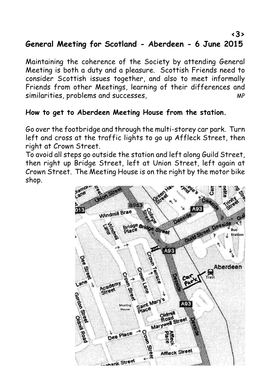### **General Meeting for Scotland - Aberdeen - 6 June 2015**

Maintaining the coherence of the Society by attending General Meeting is both a duty and a pleasure. Scottish Friends need to consider Scottish issues together, and also to meet informally Friends from other Meetings, learning of their differences and similarities, problems and successes,  $MP$ 

#### **How to get to Aberdeen Meeting House from the station.**

Go over the footbridge and through the multi-storey car park. Turn left and cross at the traffic lights to go up Affleck Street, then right at Crown Street.

To avoid all steps go outside the station and left along Guild Street, then right up Bridge Street, left at Union Street, left again at Crown Street. The Meeting House is on the right by the motor bike shop.

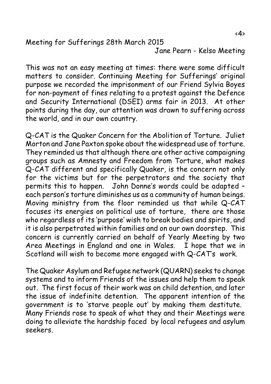Meeting for Sufferings 28th March 2015

Jane Pearn - Kelso Meeting

This was not an easy meeting at times: there were some difficult matters to consider. Continuing Meeting for Sufferings' original purpose we recorded the imprisonment of our Friend Sylvia Boyes for non-payment of fines relating to a protest against the Defence and Security International (DSEI) arms fair in 2013. At other points during the day, our attention was drawn to suffering across the world, and in our own country.

Q-CAT is the Quaker Concern for the Abolition of Torture. Juliet Morton and Jane Paxton spoke about the widespread use of torture. They reminded us that although there are other active campaigning groups such as Amnesty and Freedom from Torture, what makes Q-CAT different and specifically Quaker, is the concern not only for the victims but for the perpetrators and the society that permits this to happen. John Donne's words could be adapted – each person's torture diminishes us as a community of human beings. Moving ministry from the floor reminded us that while Q-CAT focuses its energies on political use of torture, there are those who regardless of its 'purpose' wish to break bodies and spirits, and it is also perpetrated within families and on our own doorstep. This concern is currently carried on behalf of Yearly Meeting by two Area Meetings in England and one in Wales. I hope that we in Scotland will wish to become more engaged with Q-CAT's work.

The Quaker Asylum and Refugee network (QUARN) seeks to change systems and to inform Friends of the issues and help them to speak out. The first focus of their work was on child detention, and later the issue of indefinite detention. The apparent intention of the government is to 'starve people out' by making them destitute. Many Friends rose to speak of what they and their Meetings were doing to alleviate the hardship faced by local refugees and asylum seekers.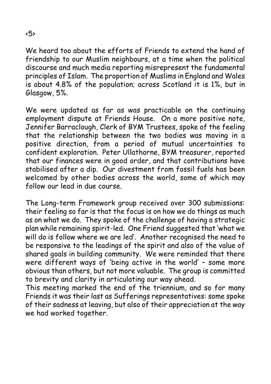We heard too about the efforts of Friends to extend the hand of friendship to our Muslim neighbours, at a time when the political discourse and much media reporting misrepresent the fundamental principles of Islam. The proportion of Muslims in England and Wales is about 4.8% of the population; across Scotland it is 1%, but in Glasgow, 5%.

We were updated as far as was practicable on the continuing employment dispute at Friends House. On a more positive note, Jennifer Barraclough, Clerk of BYM Trustees, spoke of the feeling that the relationship between the two bodies was moving in a positive direction, from a period of mutual uncertainties to confident exploration. Peter Ullathorne, BYM treasurer, reported that our finances were in good order, and that contributions have stabilised after a dip. Our divestment from fossil fuels has been welcomed by other bodies across the world, some of which may follow our lead in due course.

The Long-term Framework group received over 300 submissions: their feeling so far is that the focus is on how we do things as much as on what we do. They spoke of the challenge of having a strategic plan while remaining spirit-led. One Friend suggested that 'what we will do is follow where we are led'. Another recognised the need to be responsive to the leadings of the spirit and also of the value of shared goals in building community. We were reminded that there were different ways of 'being active in the world' – some more obvious than others, but not more valuable. The group is committed to brevity and clarity in articulating our way ahead.

This meeting marked the end of the triennium, and so for many Friends it was their last as Sufferings representatives: some spoke of their sadness at leaving, but also of their appreciation at the way we had worked together.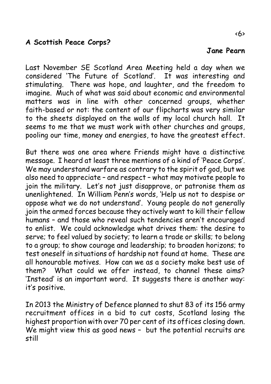#### **A Scottish Peace Corps?**

Last November SE Scotland Area Meeting held a day when we considered 'The Future of Scotland'. It was interesting and stimulating. There was hope, and laughter, and the freedom to imagine. Much of what was said about economic and environmental matters was in line with other concerned groups, whether faith-based or not: the content of our flipcharts was very similar to the sheets displayed on the walls of my local church hall. It seems to me that we must work with other churches and groups. pooling our time, money and energies, to have the greatest effect.

But there was one area where Friends might have a distinctive message. I heard at least three mentions of a kind of 'Peace Corps'. We may understand warfare as contrary to the spirit of god, but we also need to appreciate – and respect – what may motivate people to join the military. Let's not just disapprove, or patronise them as unenlightened. In William Penn's words, 'Help us not to despise or oppose what we do not understand'. Young people do not generally join the armed forces because they actively want to kill their fellow humans – and those who reveal such tendencies aren't encouraged to enlist. We could acknowledge what drives them: the desire to serve; to feel valued by society; to learn a trade or skills; to belong to a group; to show courage and leadership; to broaden horizons; to test oneself in situations of hardship not found at home. These are all honourable motives. How can we as a society make best use of them? What could we offer instead, to channel these aims? 'Instead' is an important word. It suggests there is another way: it's positive.

In 2013 the Ministry of Defence planned to shut 83 of its 156 army recruitment offices in a bid to cut costs, Scotland losing the highest proportion with over 70 per cent of its offices closing down. We might view this as good news - but the potential recruits are still

#### **Jane Pearn**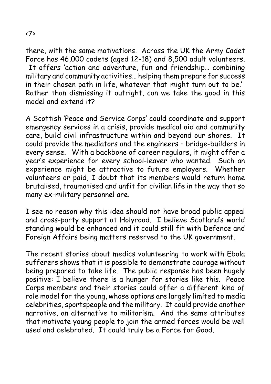there, with the same motivations. Across the UK the Army Cadet Force has 46,000 cadets (aged 12-18) and 8,500 adult volunteers. It offers 'action and adventure, fun and friendship… combining military and community activities… helping them prepare for success in their chosen path in life, whatever that might turn out to be.' Rather than dismissing it outright, can we take the good in this model and extend it?

A Scottish 'Peace and Service Corps' could coordinate and support emergency services in a crisis, provide medical aid and community care, build civil infrastructure within and beyond our shores. It could provide the mediators and the engineers – bridge-builders in every sense. With a backbone of career regulars, it might offer a year's experience for every school-leaver who wanted. Such an experience might be attractive to future employers. Whether volunteers or paid, I doubt that its members would return home brutalised, traumatised and unfit for civilian life in the way that so many ex-military personnel are.

I see no reason why this idea should not have broad public appeal and cross-party support at Holyrood. I believe Scotland's world standing would be enhanced and it could still fit with Defence and Foreign Affairs being matters reserved to the UK government.

The recent stories about medics volunteering to work with Ebola sufferers shows that it is possible to demonstrate courage without being prepared to take life. The public response has been hugely positive: I believe there is a hunger for stories like this. Peace Corps members and their stories could offer a different kind of role model for the young, whose options are largely limited to media celebrities, sportspeople and the military. It could provide another narrative, an alternative to militarism. And the same attributes that motivate young people to join the armed forces would be well used and celebrated. It could truly be a Force for Good.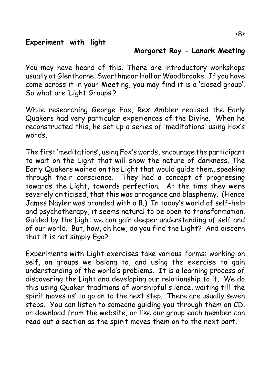#### **Margaret Roy - Lanark Meeting**

You may have heard of this. There are introductory workshops usually at Glenthorne, Swarthmoor Hall or Woodbrooke. If you have come across it in your Meeting, you may find it is a 'closed group'. So what are 'Light Groups'?

While researching George Fox, Rex Ambler realised the Early Quakers had very particular experiences of the Divine. When he reconstructed this, he set up a series of 'meditations' using Fox's words.

The first 'meditations', using Fox's words, encourage the participant to wait on the Light that will show the nature of darkness. The Early Quakers waited on the Light that would guide them, speaking through their conscience. They had a concept of progressing towards the Light, towards perfection. At the time they were severely criticised, that this was arrogance and blasphemy. (Hence James Nayler was branded with a B.) In today's world of self-help and psychotherapy, it seems natural to be open to transformation. Guided by the Light we can gain deeper understanding of self and of our world. But, how, oh how, do you find the Light? And discern that it is not simply Ego?

Experiments with Light exercises take various forms: working on self, on groups we belong to, and using the exercise to gain understanding of the world's problems. It is a learning process of discovering the Light and developing our relationship to it. We do this using Quaker traditions of worshipful silence, waiting till 'the spirit moves us' to go on to the next step. There are usually seven steps. You can listen to someone guiding you through them on CD, or download from the website, or like our group each member can read out a section as the spirit moves them on to the next part.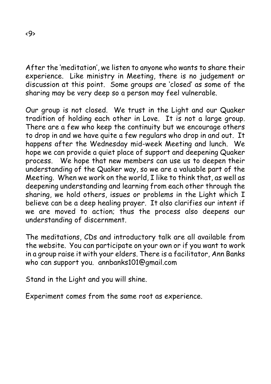After the 'meditation', we listen to anyone who wants to share their experience. Like ministry in Meeting, there is no judgement or discussion at this point. Some groups are 'closed' as some of the sharing may be very deep so a person may feel vulnerable.

Our group is not closed. We trust in the Light and our Quaker tradition of holding each other in Love. It is not a large group. There are a few who keep the continuity but we encourage others to drop in and we have quite a few regulars who drop in and out. It happens after the Wednesday mid-week Meeting and lunch. We hope we can provide a quiet place of support and deepening Quaker process. We hope that new members can use us to deepen their understanding of the Quaker way, so we are a valuable part of the Meeting. When we work on the world, I like to think that, as well as deepening understanding and learning from each other through the sharing, we hold others, issues or problems in the Light which I believe can be a deep healing prayer. It also clarifies our intent if we are moved to action; thus the process also deepens our understanding of discernment.

The meditations, CDs and introductory talk are all available from the website. You can participate on your own or if you want to work in a group raise it with your elders. There is a facilitator, Ann Banks who can support you. annbanks101@gmail.com

Stand in the Light and you will shine.

Experiment comes from the same root as experience.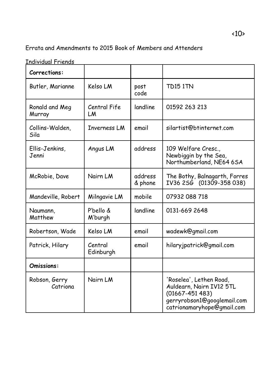#### Errata and Amendments to 2015 Book of Members and Attenders

Individual Friends

| Corrections:              |                      |                    |                                                                                                                                        |
|---------------------------|----------------------|--------------------|----------------------------------------------------------------------------------------------------------------------------------------|
| Butler, Marianne          | Kelso LM             | post<br>code       | <b>TD15 1TN</b>                                                                                                                        |
| Ronald and Meg<br>Murray  | Central Fife<br>LM   | landline           | 01592 263 213                                                                                                                          |
| Collins-Walden,<br>Sila   | <b>Inverness LM</b>  | email              | silartist@btinternet.com                                                                                                               |
| Ellis-Jenkins,<br>Jenni   | Angus LM             | address            | 109 Welfare Cresc.,<br>Newbiggin by the Sea,<br>Northumberland, NE64 6SA                                                               |
| McRobie, Dave             | Nairn LM             | address<br>& phone | The Bothy, Balnagarth, Forres<br>IV36 2SG (01309-358 038)                                                                              |
| Mandeville, Robert        | Milngavie LM         | mobile             | 07932 088 718                                                                                                                          |
| Naumann,<br>Matthew       | P'bello &<br>M'burgh | landline           | 0131-669 2648                                                                                                                          |
| Robertson, Wade           | Kelso LM             | email              | wadewk@gmail.com                                                                                                                       |
| Patrick, Hilary           | Central<br>Edinburgh | email              | hilaryjpatrick@gmail.com                                                                                                               |
| Omissions:                |                      |                    |                                                                                                                                        |
| Robson, Gerry<br>Catriona | Nairn LM             |                    | 'Roselea', Lethen Road,<br>Auldearn, Nairn IV12 5TL<br>$(01667 - 451483)$<br>gerryrobson1@googlemail.com<br>catrionamaryhope@gmail.com |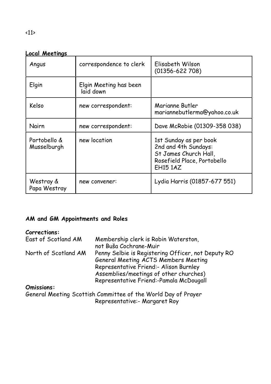| Angus                       | correspondence to clerk             | Elisabeth Wilson<br>$(01356 - 622708)$                                                                                    |
|-----------------------------|-------------------------------------|---------------------------------------------------------------------------------------------------------------------------|
| Elgin                       | Elgin Meeting has been<br>laid down |                                                                                                                           |
| Kelso                       | new correspondent:                  | Marianne Butler<br>mariannebutlerma@yahoo.co.uk                                                                           |
| Nairn                       | new correspondent:                  | Dave McRobie (01309-358 038)                                                                                              |
| Portobello &<br>Musselburgh | new location                        | 1st Sunday as per book<br>2nd and 4th Sundays:<br>St James Church Hall,<br>Rosefield Place, Portobello<br><b>EH15 1AZ</b> |
| Westray &<br>Papa Westray   | new convener:                       | Lydia Harris (01857-677 551)                                                                                              |

#### **AM and GM Appointments and Roles**

#### **Corrections:**

| East of Scotland AM  | Membership clerk is Robin Waterston,                          |
|----------------------|---------------------------------------------------------------|
|                      | not Buša Cochrane-Muir                                        |
| North of Scotland AM | Penny Selbie is Registering Officer, not Deputy RO            |
|                      | General Meeting ACTS Members Meeting                          |
|                      | Representative Friend:- Alison Burnley                        |
|                      | Assemblies/meetings of other churches)                        |
|                      | Representative Friend:-Pamala McDougall                       |
| Omissions:           |                                                               |
|                      | General Meeting Scottish Committee of the World Day of Prayer |
|                      | Representative:- Margaret Roy                                 |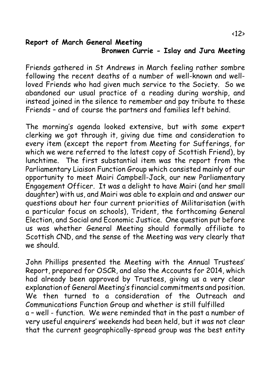#### **Report of March General Meeting Bronwen Currie - Islay and Jura Meeting**

Friends gathered in St Andrews in March feeling rather sombre following the recent deaths of a number of well-known and wellloved Friends who had given much service to the Society. So we abandoned our usual practice of a reading during worship, and instead joined in the silence to remember and pay tribute to these Friends – and of course the partners and families left behind.

The morning's agenda looked extensive, but with some expert clerking we got through it, giving due time and consideration to every item (except the report from Meeting for Sufferings, for which we were referred to the latest copy of Scottish Friend), by lunchtime. The first substantial item was the report from the Parliamentary Liaison Function Group which consisted mainly of our opportunity to meet Mairi Campbell-Jack, our new Parliamentary Engagement Officer. It was a delight to have Mairi (and her small daughter) with us, and Mairi was able to explain and and answer our questions about her four current priorities of Militarisation (with a particular focus on schools), Trident, the forthcoming General Election, and Social and Economic Justice. One question put before us was whether General Meeting should formally affiliate to Scottish CND, and the sense of the Meeting was very clearly that we should.

John Phillips presented the Meeting with the Annual Trustees' Report, prepared for OSCR, and also the Accounts for 2014, which had already been approved by Trustees, giving us a very clear explanation of General Meeting's financial commitments and position. We then turned to a consideration of the Outreach and Communications Function Group and whether is still fulfilled a – well - function. We were reminded that in the past a number of very useful enquirers' weekends had been held, but it was not clear that the current geographically-spread group was the best entity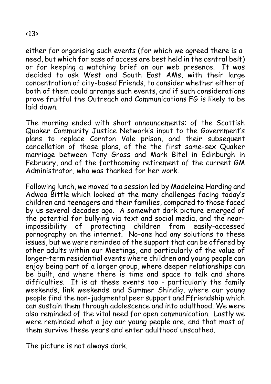either for organising such events (for which we agreed there is a need, but which for ease of access are best held in the central belt) or for keeping a watching brief on our web presence. It was decided to ask West and South East AMs, with their large concentration of city-based Friends, to consider whether either of both of them could arrange such events, and if such considerations prove fruitful the Outreach and Communications FG is likely to be laid down.

The morning ended with short announcements: of the Scottish Quaker Community Justice Network's input to the Government's plans to replace Cornton Vale prison, and their subsequent cancellation of those plans, of the the first same-sex Quaker marriage between Tony Gross and Mark Bitel in Edinburgh in February, and of the forthcoming retirement of the current GM Administrator, who was thanked for her work.

Following lunch, we moved to a session led by Madeleine Harding and Adwoa Bittle which looked at the many challenges facing today's children and teenagers and their families, compared to those faced by us several decades ago. A somewhat dark picture emerged of the potential for bullying via text and social media, and the nearimpossibility of protecting children from easily-accessed pornography on the internet. No-one had any solutions to these issues, but we were reminded of the support that can be offered by other adults within our Meetings, and particularly of the value of longer-term residential events where children and young people can enjoy being part of a larger group, where deeper relationships can be built, and where there is time and space to talk and share difficulties. It is at these events too – particularly the family weekends, link weekends and Summer Shindig, where our young people find the non-judgmental peer support and Ffriendship which can sustain them through adolescence and into adulthood. We were also reminded of the vital need for open communication. Lastly we were reminded what a joy our young people are, and that most of them survive these years and enter adulthood unscathed.

The picture is not always dark.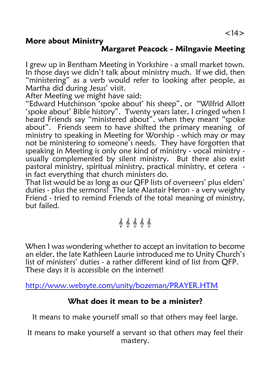#### **More about Ministry**

#### **Margaret Peacock - Milngavie Meeting**

I grew up in Bentham Meeting in Yorkshire - a small market town. In those days we didn't talk about ministry much. If we did, then "ministering" as a verb would refer to looking after people, as Martha did during Jesus' visit.

After Meeting we might have said:

"Edward Hutchinson 'spoke about' his sheep", or "Wilfrid Allott 'spoke about' Bible history". Twenty years later, I cringed when I heard Friends say "ministered about", when they meant "spoke about". Friends seem to have shifted the primary meaning of ministry to speaking in Meeting for Worship - which may or may not be ministering to someone's needs. They have forgotten that speaking in Meeting is only one kind of ministry - vocal ministry usually complemented by silent ministry. But there also exist pastoral ministry, spiritual ministry, practical ministry, et cetera in fact everything that church ministers do.

That list would be as long as our QFP lists of overseers' plus elders' duties - plus the sermons! The late Alastair Heron - a very weighty Friend - tried to remind Friends of the total meaning of ministry, but failed.

# $\{a, b, c, d\}$

When I was wondering whether to accept an invitation to become an elder, the late Kathleen Laurie introduced me to Unity Church's list of ministers' duties - a rather different kind of list from QFP. These days it is accessible on the internet!

<http://www.websyte.com/unity/bozeman/PRAYER.HTM>

#### **What does it mean to be a minister?**

It means to make yourself small so that others may feel large.

It means to make yourself a servant so that others may feel their mastery.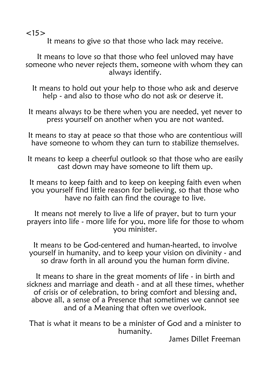$<15>$ 

It means to give so that those who lack may receive.

It means to love so that those who feel unloved may have someone who never rejects them, someone with whom they can always identify.

It means to hold out your help to those who ask and deserve help - and also to those who do not ask or deserve it.

It means always to be there when you are needed, yet never to press yourself on another when you are not wanted.

It means to stay at peace so that those who are contentious will have someone to whom they can turn to stabilize themselves.

It means to keep a cheerful outlook so that those who are easily cast down may have someone to lift them up.

It means to keep faith and to keep on keeping faith even when you yourself find little reason for believing, so that those who have no faith can find the courage to live.

It means not merely to live a life of prayer, but to turn your prayers into life - more life for you, more life for those to whom you minister.

It means to be God-centered and human-hearted, to involve yourself in humanity, and to keep your vision on divinity - and so draw forth in all around you the human form divine.

It means to share in the great moments of life - in birth and sickness and marriage and death - and at all these times, whether of crisis or of celebration, to bring comfort and blessing and, above all, a sense of a Presence that sometimes we cannot see and of a Meaning that often we overlook.

That is what it means to be a minister of God and a minister to humanity.

James Dillet Freeman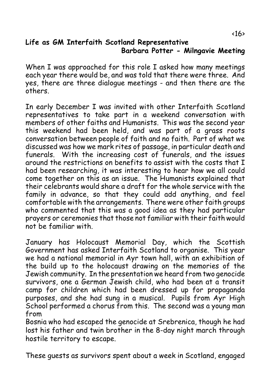#### **Life as GM Interfaith Scotland Representative Barbara Potter - Milngavie Meeting**

When I was approached for this role I asked how many meetings each year there would be, and was told that there were three. And yes, there are three dialogue meetings - and then there are the others.

In early December I was invited with other Interfaith Scotland representatives to take part in a weekend conversation with members of other faiths and Humanists. This was the second year this weekend had been held, and was part of a grass roots conversation between people of faith and no faith. Part of what we discussed was how we mark rites of passage, in particular death and funerals. With the increasing cost of funerals, and the issues around the restrictions on benefits to assist with the costs that I had been researching, it was interesting to hear how we all could come together on this as an issue. The Humanists explained that their celebrants would share a draft for the whole service with the family in advance, so that they could add anything, and feel comfortable with the arrangements. There were other faith groups who commented that this was a good idea as they had particular prayers or ceremonies that those not familiar with their faith would not be familiar with.

January has Holocaust Memorial Day, which the Scottish Government has asked Interfaith Scotland to organise. This year we had a national memorial in Ayr town hall, with an exhibition of the build up to the holocaust drawing on the memories of the Jewish community. In the presentation we heard from two genocide survivors, one a German Jewish child, who had been at a transit camp for children which had been dressed up for propaganda purposes, and she had sung in a musical. Pupils from Ayr High School performed a chorus from this. The second was a young man from

Bosnia who had escaped the genocide at Srebrenica, though he had lost his father and twin brother in the 8-day night march through hostile territory to escape.

These guests as survivors spent about a week in Scotland, engaged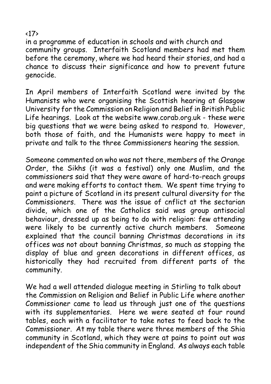in a programme of education in schools and with church and community groups. Interfaith Scotland members had met them before the ceremony, where we had heard their stories, and had a chance to discuss their significance and how to prevent future genocide.

In April members of Interfaith Scotland were invited by the Humanists who were organising the Scottish hearing at Glasgow University for the Commission on Religion and Belief in British Public Life hearings. Look at the website www.corab.org.uk - these were big questions that we were being asked to respond to. However, both those of faith, and the Humanists were happy to meet in private and talk to the three Commissioners hearing the session.

Someone commented on who was not there, members of the Orange Order, the Sikhs (it was a festival) only one Muslim, and the commissioners said that they were aware of hard-to-reach groups and were making efforts to contact them. We spent time trying to paint a picture of Scotland in its present cultural diversity for the Commissioners. There was the issue of cnflict at the sectarian divide, which one of the Catholics said was group antisocial behaviour, dressed up as being to do with religion: few attending were likely to be currently active church members. Someone explained that the council banning Christmas decorations in its offices was not about banning Christmas, so much as stopping the display of blue and green decorations in different offices, as historically they had recruited from different parts of the community.

We had a well attended dialogue meeting in Stirling to talk about the Commission on Religion and Belief in Public Life where another Commissioner came to lead us through just one of the questions with its supplementaries. Here we were seated at four round tables, each with a facilitator to take notes to feed back to the Commissioner. At my table there were three members of the Shia community in Scotland, which they were at pains to point out was independent of the Shia community in England. As always each table

#### <17>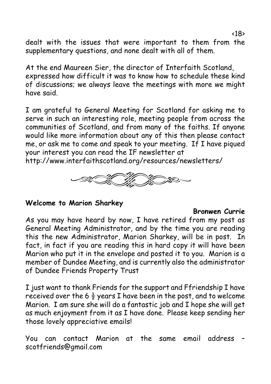dealt with the issues that were important to them from the supplementary questions, and none dealt with all of them.

At the end Maureen Sier, the director of Interfaith Scotland, expressed how difficult it was to know how to schedule these kind of discussions; we always leave the meetings with more we might have said.

I am grateful to General Meeting for Scotland for asking me to serve in such an interesting role, meeting people from across the communities of Scotland, and from many of the faiths. If anyone would like more information about any of this then please contact me, or ask me to come and speak to your meeting. If I have piqued your interest you can read the IF newsletter at

http://www.interfaithscotland.org/resources/newsletters/



#### **Welcome to Marion Sharkey**

#### **Bronwen Currie**

As you may have heard by now, I have retired from my post as General Meeting Administrator, and by the time you are reading this the new Administrator, Marion Sharkey, will be in post. In fact, in fact if you are reading this in hard copy it will have been Marion who put it in the envelope and posted it to you. Marion is a member of Dundee Meeting, and is currently also the administrator of Dundee Friends Property Trust

I just want to thank Friends for the support and Ffriendship I have received over the 6  $\frac{1}{2}$  years I have been in the post, and to welcome Marion. I am sure she will do a fantastic job and I hope she will get as much enjoyment from it as I have done. Please keep sending her those lovely appreciative emails!

You can contact Marion at the same email address – scotfriends@gmail.com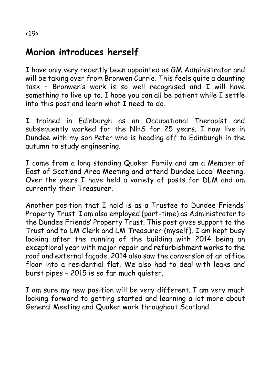## **Marion introduces herself**

I have only very recently been appointed as GM Administrator and will be taking over from Bronwen Currie. This feels quite a daunting task – Bronwen's work is so well recognised and I will have something to live up to. I hope you can all be patient while I settle into this post and learn what I need to do.

I trained in Edinburgh as an Occupational Therapist and subsequently worked for the NHS for 25 years. I now live in Dundee with my son Peter who is heading off to Edinburgh in the autumn to study engineering.

I come from a long standing Quaker Family and am a Member of East of Scotland Area Meeting and attend Dundee Local Meeting. Over the years I have held a variety of posts for DLM and am currently their Treasurer.

Another position that I hold is as a Trustee to Dundee Friends' Property Trust. I am also employed (part-time) as Administrator to the Dundee Friends' Property Trust. This post gives support to the Trust and to LM Clerk and LM Treasurer (myself). I am kept busy looking after the running of the building with 2014 being an exceptional year with major repair and refurbishment works to the roof and external façade. 2014 also saw the conversion of an office floor into a residential flat. We also had to deal with leaks and burst pipes – 2015 is so far much quieter.

I am sure my new position will be very different. I am very much looking forward to getting started and learning a lot more about General Meeting and Quaker work throughout Scotland.